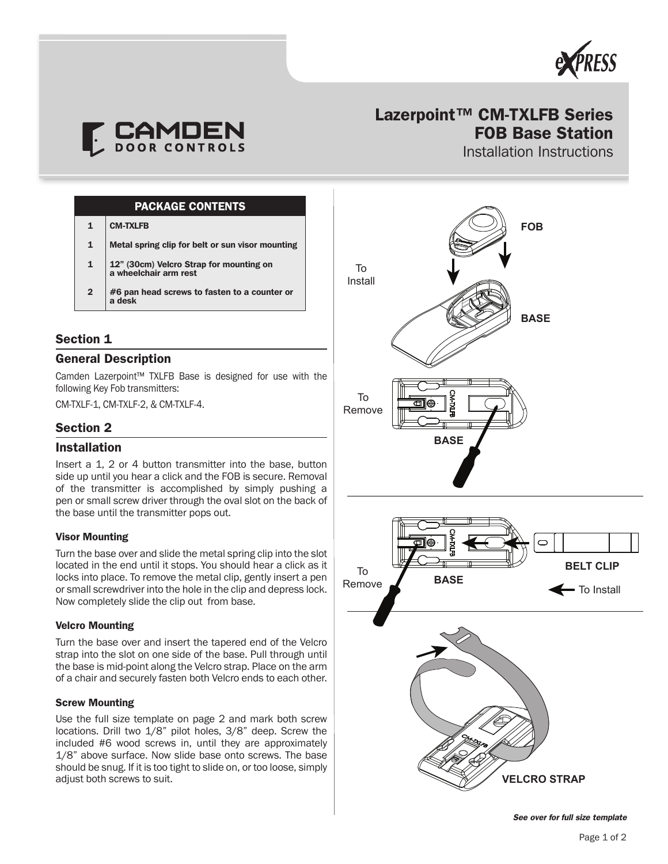



# Lazerpoint™ CM-TXLFB Series FOB Base Station

Installation Instructions

### PACKAGE CONTENTS

1 CM-TXLFB

- 1 Metal spring clip for belt or sun visor mounting
- 1 12" (30cm) Velcro Strap for mounting on a wheelchair arm rest
- $\overline{2}$ #6 pan head screws to fasten to a counter or a desk

# Section 1

## General Description

Camden Lazerpoint™ TXLFB Base is designed for use with the following Key Fob transmitters:

CM-TXLF-1, CM-TXLF-2, & CM-TXLF-4.

### Section 2

### Installation

Insert a 1, 2 or 4 button transmitter into the base, button side up until you hear a click and the FOB is secure. Removal of the transmitter is accomplished by simply pushing a pen or small screw driver through the oval slot on the back of the base until the transmitter pops out.

#### Visor Mounting

Turn the base over and slide the metal spring clip into the slot located in the end until it stops. You should hear a click as it locks into place. To remove the metal clip, gently insert a pen or small screwdriver into the hole in the clip and depress lock. Now completely slide the clip out from base.

#### Velcro Mounting

Turn the base over and insert the tapered end of the Velcro strap into the slot on one side of the base. Pull through until the base is mid-point along the Velcro strap. Place on the arm of a chair and securely fasten both Velcro ends to each other.

#### Screw Mounting

Use the full size template on page 2 and mark both screw locations. Drill two 1/8" pilot holes, 3/8" deep. Screw the included #6 wood screws in, until they are approximately 1/8" above surface. Now slide base onto screws. The base should be snug. If it is too tight to slide on, or too loose, simply adjust both screws to suit.



*See over for full size template*